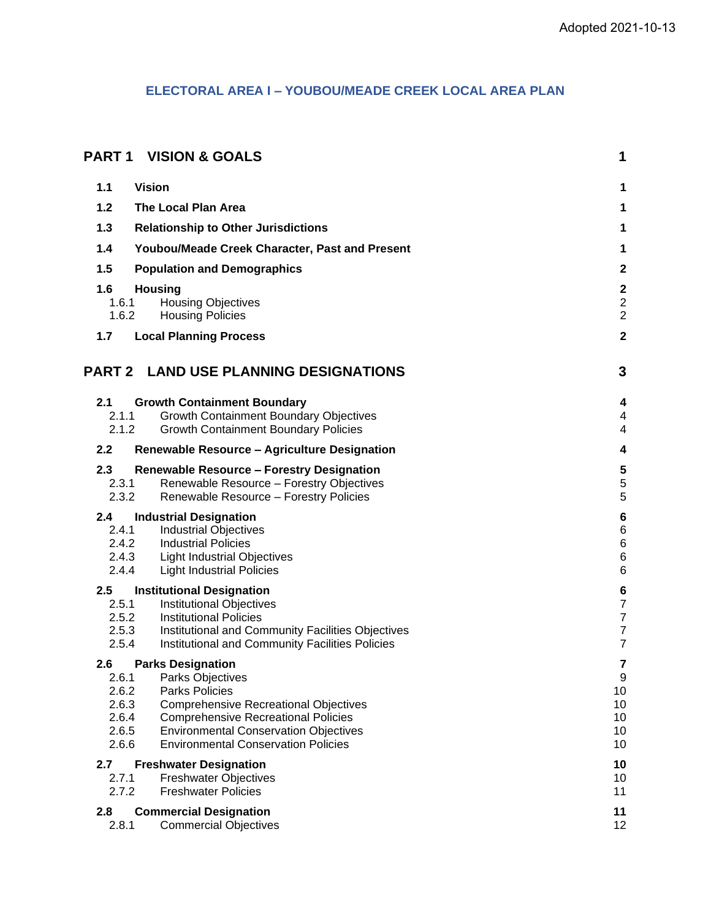# **ELECTORAL AREA I – YOUBOU/MEADE CREEK LOCAL AREA PLAN**

| <b>PART 1</b>                           | <b>VISION &amp; GOALS</b>                                                                            | 1                                                 |
|-----------------------------------------|------------------------------------------------------------------------------------------------------|---------------------------------------------------|
| <b>Vision</b><br>1.1                    |                                                                                                      | 1                                                 |
| 1.2                                     | <b>The Local Plan Area</b>                                                                           | 1                                                 |
| 1.3                                     | <b>Relationship to Other Jurisdictions</b>                                                           | 1                                                 |
| 1.4                                     | Youbou/Meade Creek Character, Past and Present                                                       | 1                                                 |
| 1.5                                     | <b>Population and Demographics</b>                                                                   | $\boldsymbol{2}$                                  |
| 1.6<br><b>Housing</b><br>1.6.1<br>1.6.2 | <b>Housing Objectives</b><br><b>Housing Policies</b>                                                 | $\mathbf 2$<br>$\boldsymbol{2}$<br>$\overline{c}$ |
| 1.7                                     | <b>Local Planning Process</b>                                                                        | $\mathbf 2$                                       |
| <b>PART 2</b>                           | <b>LAND USE PLANNING DESIGNATIONS</b>                                                                | 3                                                 |
| 2.1                                     | <b>Growth Containment Boundary</b>                                                                   | 4                                                 |
| 2.1.1<br>2.1.2                          | <b>Growth Containment Boundary Objectives</b><br><b>Growth Containment Boundary Policies</b>         | 4<br>4                                            |
| 2.2                                     | Renewable Resource - Agriculture Designation                                                         | 4                                                 |
| 2.3                                     | <b>Renewable Resource - Forestry Designation</b>                                                     | 5                                                 |
| 2.3.1                                   | Renewable Resource - Forestry Objectives                                                             | 5                                                 |
| 2.3.2                                   | Renewable Resource - Forestry Policies                                                               | 5                                                 |
| 2.4<br>2.4.1                            | <b>Industrial Designation</b><br><b>Industrial Objectives</b>                                        | $\bf 6$<br>$\,6\,$                                |
| 2.4.2                                   | <b>Industrial Policies</b>                                                                           | $\,6\,$                                           |
| 2.4.3<br>2.4.4                          | <b>Light Industrial Objectives</b><br><b>Light Industrial Policies</b>                               | $\,6$<br>$\,6$                                    |
| 2.5                                     |                                                                                                      |                                                   |
| 2.5.1                                   | <b>Institutional Designation</b><br>Institutional Objectives                                         | 6<br>$\overline{7}$                               |
| 2.5.2                                   | <b>Institutional Policies</b>                                                                        | $\overline{\mathbf{7}}$                           |
| 2.5.3<br>2.5.4                          | Institutional and Community Facilities Objectives<br>Institutional and Community Facilities Policies | $\overline{7}$<br>$\overline{7}$                  |
| 2.6                                     | <b>Parks Designation</b>                                                                             | 7                                                 |
| 2.6.1                                   | <b>Parks Objectives</b>                                                                              | 9                                                 |
| 2.6.2                                   | <b>Parks Policies</b>                                                                                | 10                                                |
| 2.6.3<br>2.6.4                          | <b>Comprehensive Recreational Objectives</b><br><b>Comprehensive Recreational Policies</b>           | 10<br>10                                          |
| 2.6.5                                   | <b>Environmental Conservation Objectives</b>                                                         | 10                                                |
| 2.6.6                                   | <b>Environmental Conservation Policies</b>                                                           | 10                                                |
| 2.7                                     | <b>Freshwater Designation</b>                                                                        | 10                                                |
| 2.7.1<br>2.7.2                          | <b>Freshwater Objectives</b><br><b>Freshwater Policies</b>                                           | 10<br>11                                          |
| 2.8                                     | <b>Commercial Designation</b>                                                                        | 11                                                |
| 2.8.1                                   | <b>Commercial Objectives</b>                                                                         | 12                                                |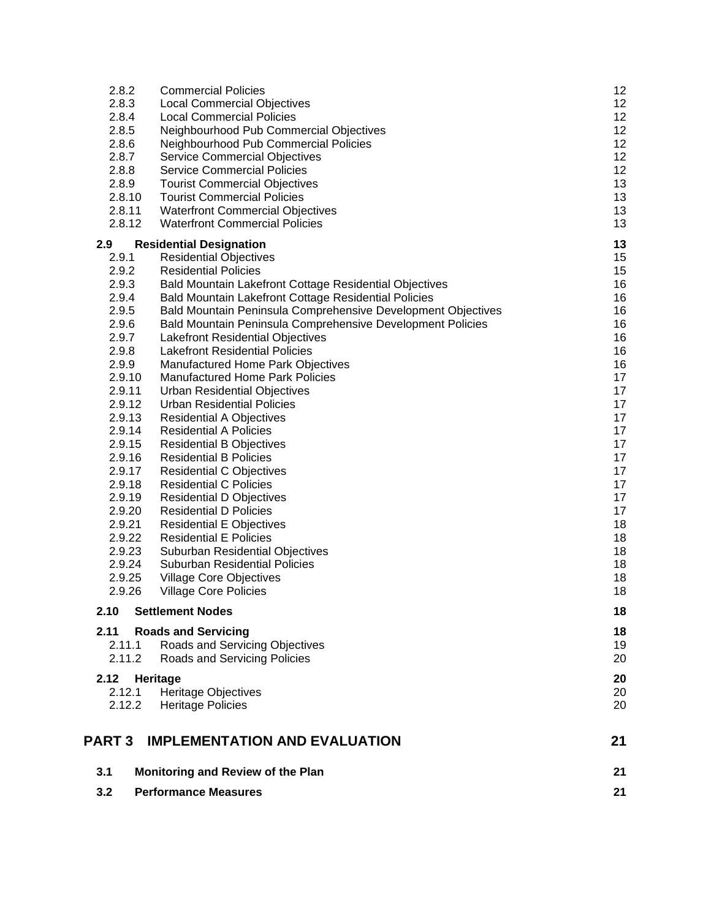| 3.2                      | <b>Performance Measures</b>                                                      | 21       |
|--------------------------|----------------------------------------------------------------------------------|----------|
| 3.1                      | Monitoring and Review of the Plan                                                | 21       |
| <b>PART 3</b>            | <b>IMPLEMENTATION AND EVALUATION</b>                                             | 21       |
| 2.12<br>2.12.1<br>2.12.2 | Heritage<br><b>Heritage Objectives</b><br><b>Heritage Policies</b>               | 20<br>20 |
| 2.11.2                   | Roads and Servicing Policies                                                     | 20<br>20 |
| 2.11<br>2.11.1           | <b>Roads and Servicing</b><br>Roads and Servicing Objectives                     | 18<br>19 |
| 2.10                     | <b>Settlement Nodes</b>                                                          | 18       |
| 2.9.26                   | Village Core Policies                                                            | 18       |
| 2.9.25                   | <b>Village Core Objectives</b>                                                   | 18       |
| 2.9.24                   | <b>Suburban Residential Policies</b>                                             | 18       |
| 2.9.23                   | Suburban Residential Objectives                                                  | 18       |
| 2.9.22                   | <b>Residential E Policies</b>                                                    | 18       |
| 2.9.20<br>2.9.21         | <b>Residential D Policies</b><br><b>Residential E Objectives</b>                 | 18       |
| 2.9.19                   | <b>Residential D Objectives</b>                                                  | 17<br>17 |
| 2.9.18                   | <b>Residential C Policies</b>                                                    | 17       |
| 2.9.17                   | <b>Residential C Objectives</b>                                                  | 17       |
| 2.9.16                   | <b>Residential B Policies</b>                                                    | 17       |
| 2.9.15                   | <b>Residential B Objectives</b>                                                  | 17       |
| 2.9.14                   | <b>Residential A Policies</b>                                                    | 17       |
| 2.9.13                   | <b>Residential A Objectives</b>                                                  | 17       |
| 2.9.11<br>2.9.12         | <b>Urban Residential Objectives</b><br><b>Urban Residential Policies</b>         | 17       |
| 2.9.10                   | <b>Manufactured Home Park Policies</b>                                           | 17<br>17 |
| 2.9.9                    | Manufactured Home Park Objectives                                                | 16       |
| 2.9.8                    | <b>Lakefront Residential Policies</b>                                            | 16       |
| 2.9.7                    | <b>Lakefront Residential Objectives</b>                                          | 16       |
| 2.9.6                    | Bald Mountain Peninsula Comprehensive Development Policies                       | 16       |
| 2.9.5                    | Bald Mountain Peninsula Comprehensive Development Objectives                     | 16       |
| 2.9.4                    | Bald Mountain Lakefront Cottage Residential Policies                             | 16       |
| 2.9.3                    | Bald Mountain Lakefront Cottage Residential Objectives                           | 16       |
| 2.9.2                    | <b>Residential Policies</b>                                                      | 15       |
| 2.9<br>2.9.1             | <b>Residential Designation</b><br><b>Residential Objectives</b>                  | 13<br>15 |
| 2.8.12                   | <b>Waterfront Commercial Policies</b>                                            | 13       |
| 2.8.11                   | <b>Waterfront Commercial Objectives</b>                                          | 13       |
| 2.8.10                   | <b>Tourist Commercial Policies</b>                                               | 13       |
| 2.8.9                    | <b>Tourist Commercial Objectives</b>                                             | 13       |
| 2.8.8                    | <b>Service Commercial Policies</b>                                               | 12       |
| 2.8.7                    | Service Commercial Objectives                                                    | 12       |
| 2.8.6                    | Neighbourhood Pub Commercial Objectives<br>Neighbourhood Pub Commercial Policies | 12       |
| 2.8.4<br>2.8.5           | <b>Local Commercial Policies</b>                                                 | 12<br>12 |
| 2.8.3                    | <b>Local Commercial Objectives</b>                                               | 12       |
| 2.8.2                    | <b>Commercial Policies</b>                                                       | 12       |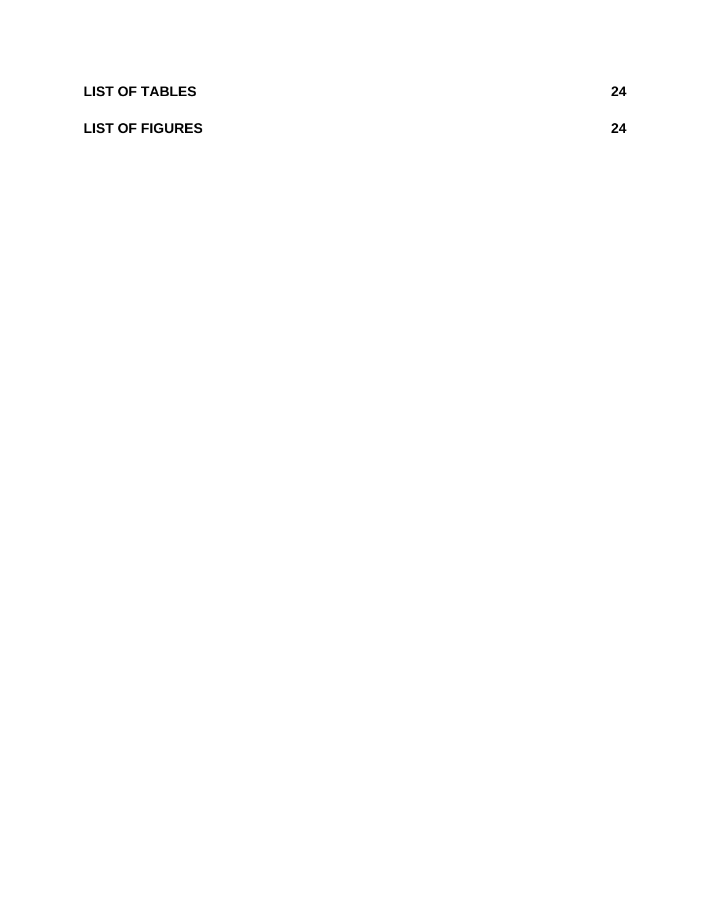| <b>LIST OF TABLES</b>  | 24 |
|------------------------|----|
| <b>LIST OF FIGURES</b> | 24 |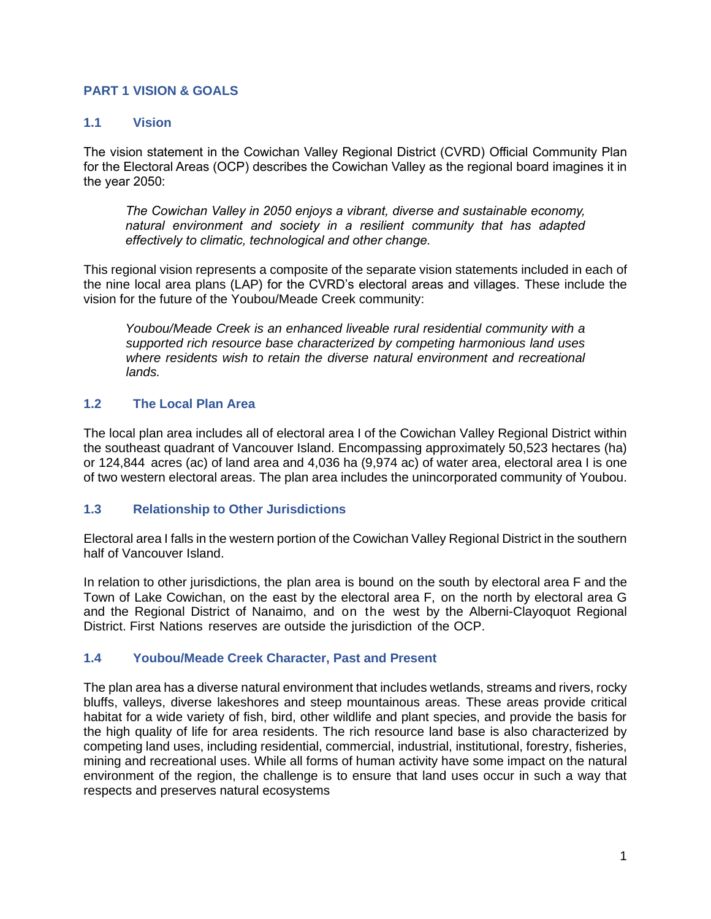## <span id="page-3-0"></span>**PART 1 VISION & GOALS**

### <span id="page-3-1"></span>**1.1 Vision**

The vision statement in the Cowichan Valley Regional District (CVRD) Official Community Plan for the Electoral Areas (OCP) describes the Cowichan Valley as the regional board imagines it in the year 2050:

*The Cowichan Valley in 2050 enjoys a vibrant, diverse and sustainable economy, natural environment and society in a resilient community that has adapted effectively to climatic, technological and other change.*

This regional vision represents a composite of the separate vision statements included in each of the nine local area plans (LAP) for the CVRD's electoral areas and villages. These include the vision for the future of the Youbou/Meade Creek community:

*Youbou/Meade Creek is an enhanced liveable rural residential community with a supported rich resource base characterized by competing harmonious land uses*  where residents wish to retain the diverse natural environment and recreational *lands.*

### <span id="page-3-2"></span>**1.2 The Local Plan Area**

The local plan area includes all of electoral area I of the Cowichan Valley Regional District within the southeast quadrant of Vancouver Island. Encompassing approximately 50,523 hectares (ha) or 124,844 acres (ac) of land area and 4,036 ha (9,974 ac) of water area, electoral area I is one of two western electoral areas. The plan area includes the unincorporated community of Youbou.

### <span id="page-3-3"></span>**1.3 Relationship to Other Jurisdictions**

Electoral area I falls in the western portion of the Cowichan Valley Regional District in the southern half of Vancouver Island.

In relation to other jurisdictions, the plan area is bound on the south by electoral area F and the Town of Lake Cowichan, on the east by the electoral area F, on the north by electoral area G and the Regional District of Nanaimo, and on the west by the Alberni-Clayoquot Regional District. First Nations reserves are outside the jurisdiction of the OCP.

#### <span id="page-3-4"></span>**1.4 Youbou/Meade Creek Character, Past and Present**

The plan area has a diverse natural environment that includes wetlands, streams and rivers, rocky bluffs, valleys, diverse lakeshores and steep mountainous areas. These areas provide critical habitat for a wide variety of fish, bird, other wildlife and plant species, and provide the basis for the high quality of life for area residents. The rich resource land base is also characterized by competing land uses, including residential, commercial, industrial, institutional, forestry, fisheries, mining and recreational uses. While all forms of human activity have some impact on the natural environment of the region, the challenge is to ensure that land uses occur in such a way that respects and preserves natural ecosystems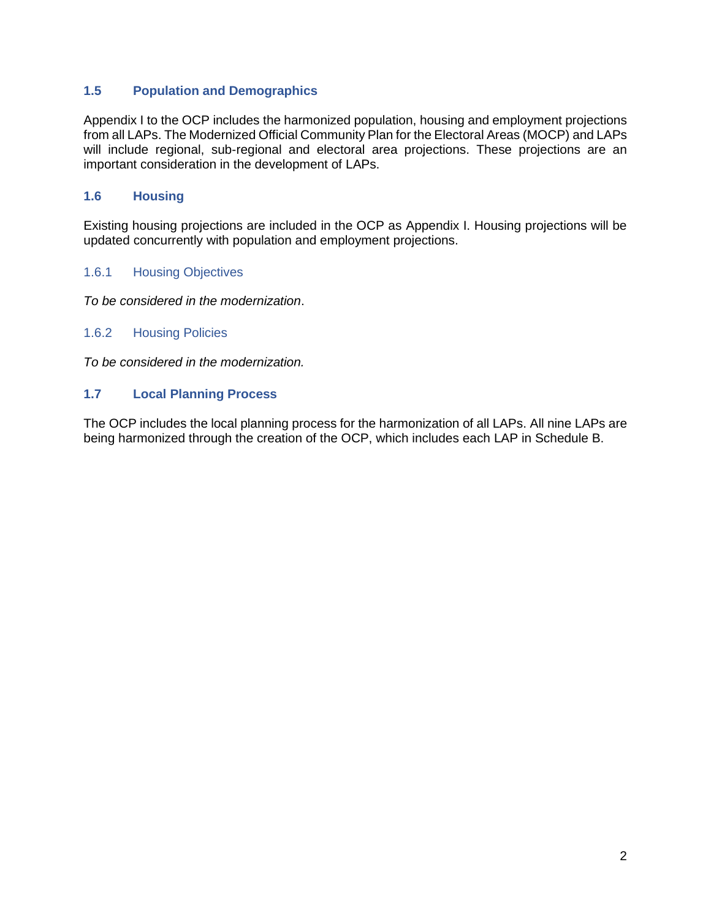# <span id="page-4-0"></span>**1.5 Population and Demographics**

Appendix I to the OCP includes the harmonized population, housing and employment projections from all LAPs. The Modernized Official Community Plan for the Electoral Areas (MOCP) and LAPs will include regional, sub-regional and electoral area projections. These projections are an important consideration in the development of LAPs.

### <span id="page-4-1"></span>**1.6 Housing**

Existing housing projections are included in the OCP as Appendix I. Housing projections will be updated concurrently with population and employment projections.

### <span id="page-4-2"></span>1.6.1 Housing Objectives

*To be considered in the modernization*.

#### <span id="page-4-3"></span>1.6.2 Housing Policies

*To be considered in the modernization.*

### <span id="page-4-4"></span>**1.7 Local Planning Process**

The OCP includes the local planning process for the harmonization of all LAPs. All nine LAPs are being harmonized through the creation of the OCP, which includes each LAP in Schedule B.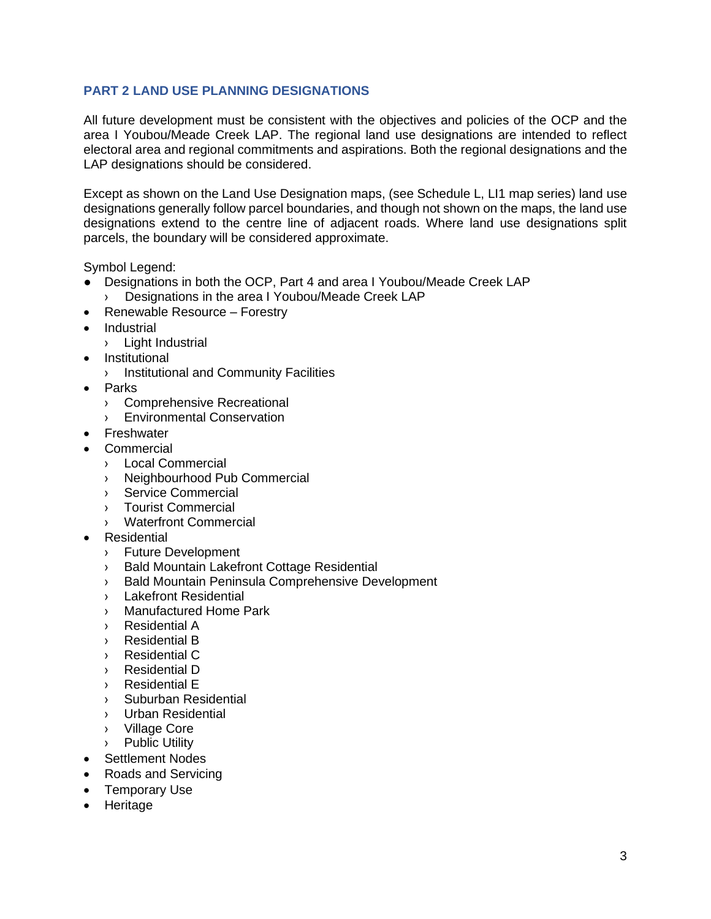# <span id="page-5-0"></span>**PART 2 LAND USE PLANNING DESIGNATIONS**

All future development must be consistent with the objectives and policies of the OCP and the area I Youbou/Meade Creek LAP. The regional land use designations are intended to reflect electoral area and regional commitments and aspirations. Both the regional designations and the LAP designations should be considered.

Except as shown on the Land Use Designation maps, (see Schedule L, LI1 map series) land use designations generally follow parcel boundaries, and though not shown on the maps, the land use designations extend to the centre line of adjacent roads. Where land use designations split parcels, the boundary will be considered approximate.

Symbol Legend:

- Designations in both the OCP, Part 4 and area I Youbou/Meade Creek LAP
	- › Designations in the area I Youbou/Meade Creek LAP
- Renewable Resource Forestry
- **Industrial** 
	- › Light Industrial
- **Institutional** 
	- › Institutional and Community Facilities
- Parks
	- › Comprehensive Recreational
	- › Environmental Conservation
- Freshwater
- **Commercial** 
	- › Local Commercial
	- › Neighbourhood Pub Commercial
	- › Service Commercial
	- › Tourist Commercial
	- › Waterfront Commercial
- Residential
	- › Future Development
	- › Bald Mountain Lakefront Cottage Residential
	- › Bald Mountain Peninsula Comprehensive Development
	- › Lakefront Residential
	- › Manufactured Home Park
	- › Residential A
	- › Residential B
	- › Residential C
	- › Residential D
	- › Residential E
	- › Suburban Residential
	- › Urban Residential
	- › Village Core
	- › Public Utility
- Settlement Nodes
- Roads and Servicing
- Temporary Use
- Heritage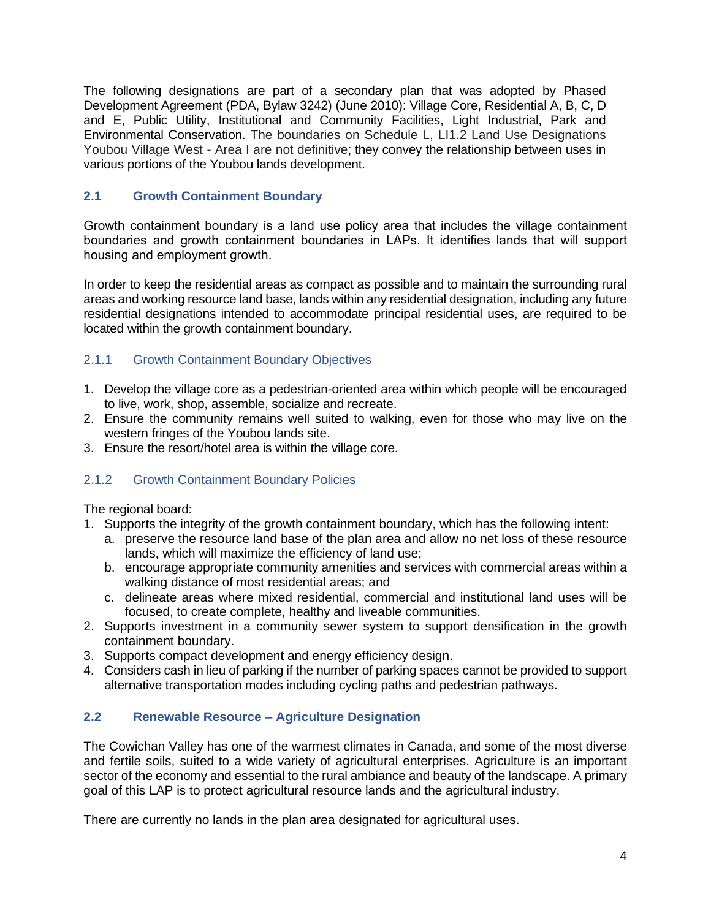The following designations are part of a secondary plan that was adopted by Phased Development Agreement (PDA, Bylaw 3242) (June 2010): Village Core, Residential A, B, C, D and E, Public Utility, Institutional and Community Facilities, Light Industrial, Park and Environmental Conservation. The boundaries on Schedule L, LI1.2 Land Use Designations Youbou Village West - Area I are not definitive; they convey the relationship between uses in various portions of the Youbou lands development.

# <span id="page-6-0"></span>**2.1 Growth Containment Boundary**

Growth containment boundary is a land use policy area that includes the village containment boundaries and growth containment boundaries in LAPs. It identifies lands that will support housing and employment growth.

In order to keep the residential areas as compact as possible and to maintain the surrounding rural areas and working resource land base, lands within any residential designation, including any future residential designations intended to accommodate principal residential uses, are required to be located within the growth containment boundary.

# <span id="page-6-1"></span>2.1.1 Growth Containment Boundary Objectives

- 1. Develop the village core as a pedestrian-oriented area within which people will be encouraged to live, work, shop, assemble, socialize and recreate.
- 2. Ensure the community remains well suited to walking, even for those who may live on the western fringes of the Youbou lands site.
- 3. Ensure the resort/hotel area is within the village core.

### <span id="page-6-2"></span>2.1.2 Growth Containment Boundary Policies

The regional board:

- 1. Supports the integrity of the growth containment boundary, which has the following intent:
	- a. preserve the resource land base of the plan area and allow no net loss of these resource lands, which will maximize the efficiency of land use;
	- b. encourage appropriate community amenities and services with commercial areas within a walking distance of most residential areas; and
	- c. delineate areas where mixed residential, commercial and institutional land uses will be focused, to create complete, healthy and liveable communities.
- 2. Supports investment in a community sewer system to support densification in the growth containment boundary.
- 3. Supports compact development and energy efficiency design.
- 4. Considers cash in lieu of parking if the number of parking spaces cannot be provided to support alternative transportation modes including cycling paths and pedestrian pathways.

## <span id="page-6-3"></span>**2.2 Renewable Resource – Agriculture Designation**

The Cowichan Valley has one of the warmest climates in Canada, and some of the most diverse and fertile soils, suited to a wide variety of agricultural enterprises. Agriculture is an important sector of the economy and essential to the rural ambiance and beauty of the landscape. A primary goal of this LAP is to protect agricultural resource lands and the agricultural industry.

There are currently no lands in the plan area designated for agricultural uses.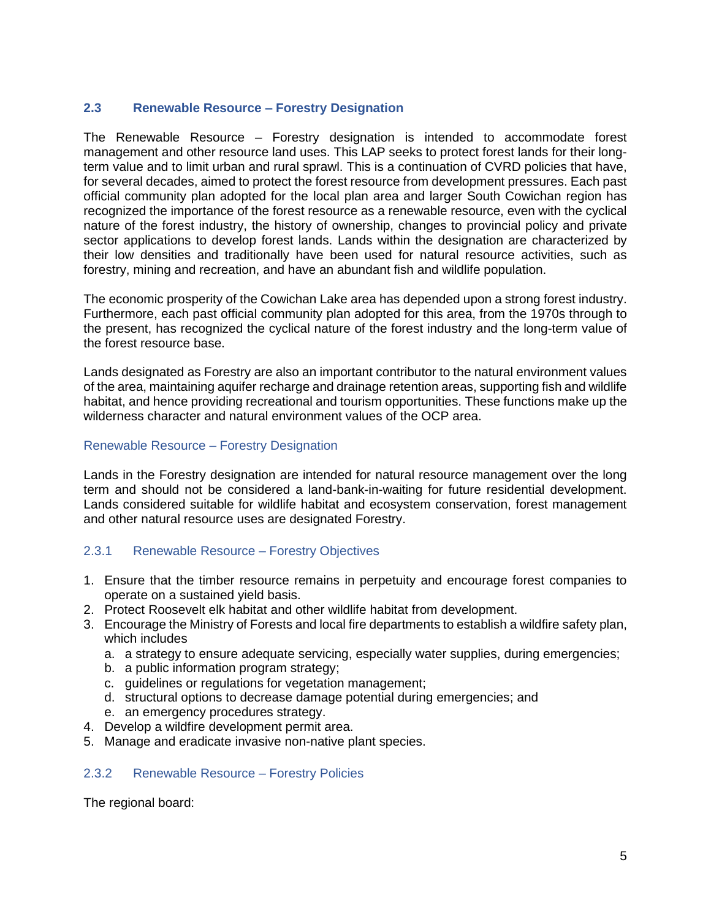# <span id="page-7-0"></span>**2.3 Renewable Resource – Forestry Designation**

The Renewable Resource – Forestry designation is intended to accommodate forest management and other resource land uses. This LAP seeks to protect forest lands for their longterm value and to limit urban and rural sprawl. This is a continuation of CVRD policies that have, for several decades, aimed to protect the forest resource from development pressures. Each past official community plan adopted for the local plan area and larger South Cowichan region has recognized the importance of the forest resource as a renewable resource, even with the cyclical nature of the forest industry, the history of ownership, changes to provincial policy and private sector applications to develop forest lands. Lands within the designation are characterized by their low densities and traditionally have been used for natural resource activities, such as forestry, mining and recreation, and have an abundant fish and wildlife population.

The economic prosperity of the Cowichan Lake area has depended upon a strong forest industry. Furthermore, each past official community plan adopted for this area, from the 1970s through to the present, has recognized the cyclical nature of the forest industry and the long-term value of the forest resource base.

Lands designated as Forestry are also an important contributor to the natural environment values of the area, maintaining aquifer recharge and drainage retention areas, supporting fish and wildlife habitat, and hence providing recreational and tourism opportunities. These functions make up the wilderness character and natural environment values of the OCP area.

### Renewable Resource – Forestry Designation

Lands in the Forestry designation are intended for natural resource management over the long term and should not be considered a land-bank-in-waiting for future residential development. Lands considered suitable for wildlife habitat and ecosystem conservation, forest management and other natural resource uses are designated Forestry.

### <span id="page-7-1"></span>2.3.1 Renewable Resource – Forestry Objectives

- 1. Ensure that the timber resource remains in perpetuity and encourage forest companies to operate on a sustained yield basis.
- 2. Protect Roosevelt elk habitat and other wildlife habitat from development.
- 3. Encourage the Ministry of Forests and local fire departments to establish a wildfire safety plan, which includes
	- a. a strategy to ensure adequate servicing, especially water supplies, during emergencies;
	- b. a public information program strategy;
	- c. guidelines or regulations for vegetation management;
	- d. structural options to decrease damage potential during emergencies; and
	- e. an emergency procedures strategy.
- 4. Develop a wildfire development permit area.
- 5. Manage and eradicate invasive non-native plant species.

#### <span id="page-7-2"></span>2.3.2 Renewable Resource – Forestry Policies

The regional board: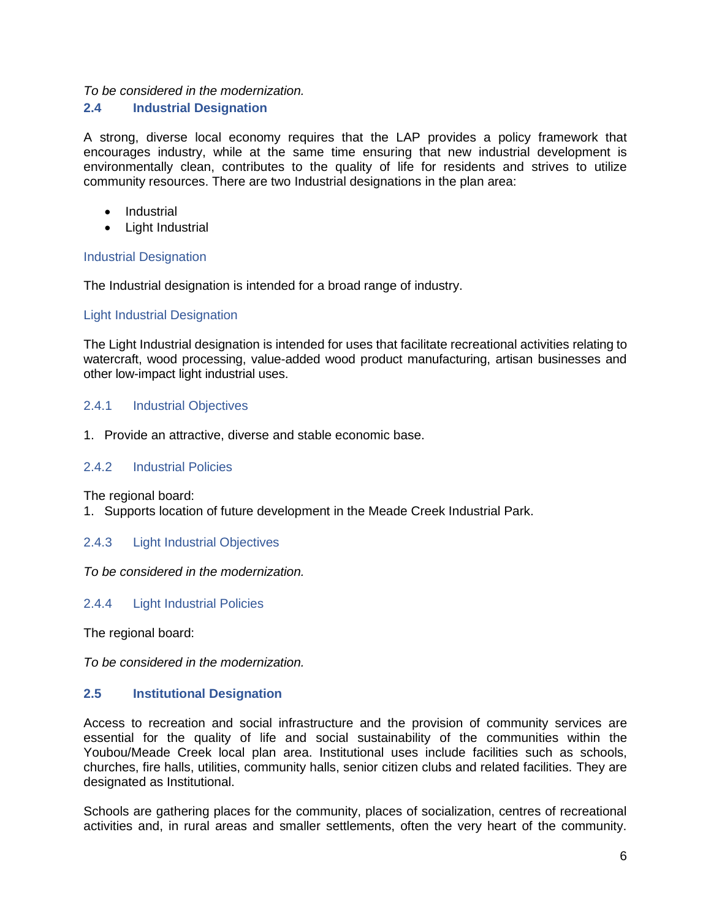# *To be considered in the modernization.*

### <span id="page-8-0"></span>**2.4 Industrial Designation**

A strong, diverse local economy requires that the LAP provides a policy framework that encourages industry, while at the same time ensuring that new industrial development is environmentally clean, contributes to the quality of life for residents and strives to utilize community resources. There are two Industrial designations in the plan area:

- Industrial
- Light Industrial

### Industrial Designation

The Industrial designation is intended for a broad range of industry.

### Light Industrial Designation

The Light Industrial designation is intended for uses that facilitate recreational activities relating to watercraft, wood processing, value-added wood product manufacturing, artisan businesses and other low-impact light industrial uses.

### <span id="page-8-1"></span>2.4.1 Industrial Objectives

1. Provide an attractive, diverse and stable economic base.

#### <span id="page-8-2"></span>2.4.2 Industrial Policies

The regional board:

1. Supports location of future development in the Meade Creek Industrial Park.

### <span id="page-8-3"></span>2.4.3 Light Industrial Objectives

*To be considered in the modernization.*

### <span id="page-8-4"></span>2.4.4 Light Industrial Policies

The regional board:

*To be considered in the modernization.*

#### <span id="page-8-5"></span>**2.5 Institutional Designation**

Access to recreation and social infrastructure and the provision of community services are essential for the quality of life and social sustainability of the communities within the Youbou/Meade Creek local plan area. Institutional uses include facilities such as schools, churches, fire halls, utilities, community halls, senior citizen clubs and related facilities. They are designated as Institutional.

Schools are gathering places for the community, places of socialization, centres of recreational activities and, in rural areas and smaller settlements, often the very heart of the community.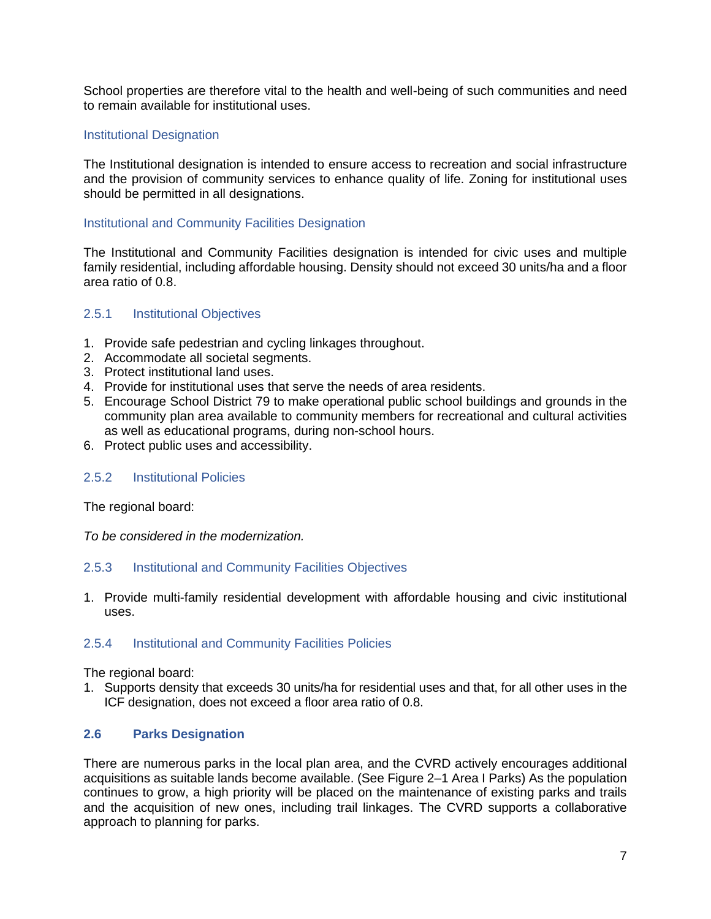School properties are therefore vital to the health and well-being of such communities and need to remain available for institutional uses.

### Institutional Designation

The Institutional designation is intended to ensure access to recreation and social infrastructure and the provision of community services to enhance quality of life. Zoning for institutional uses should be permitted in all designations.

### Institutional and Community Facilities Designation

The Institutional and Community Facilities designation is intended for civic uses and multiple family residential, including affordable housing. Density should not exceed 30 units/ha and a floor area ratio of 0.8.

### <span id="page-9-0"></span>2.5.1 Institutional Objectives

- 1. Provide safe pedestrian and cycling linkages throughout.
- 2. Accommodate all societal segments.
- 3. Protect institutional land uses.
- 4. Provide for institutional uses that serve the needs of area residents.
- 5. Encourage School District 79 to make operational public school buildings and grounds in the community plan area available to community members for recreational and cultural activities as well as educational programs, during non-school hours.
- 6. Protect public uses and accessibility.

#### <span id="page-9-1"></span>2.5.2 Institutional Policies

The regional board:

*To be considered in the modernization.*

#### <span id="page-9-2"></span>2.5.3 Institutional and Community Facilities Objectives

1. Provide multi-family residential development with affordable housing and civic institutional uses.

### <span id="page-9-3"></span>2.5.4 Institutional and Community Facilities Policies

The regional board:

1. Supports density that exceeds 30 units/ha for residential uses and that, for all other uses in the ICF designation, does not exceed a floor area ratio of 0.8.

### <span id="page-9-4"></span>**2.6 Parks Designation**

There are numerous parks in the local plan area, and the CVRD actively encourages additional acquisitions as suitable lands become available. (See Figure 2–1 Area I Parks) As the population continues to grow, a high priority will be placed on the maintenance of existing parks and trails and the acquisition of new ones, including trail linkages. The CVRD supports a collaborative approach to planning for parks.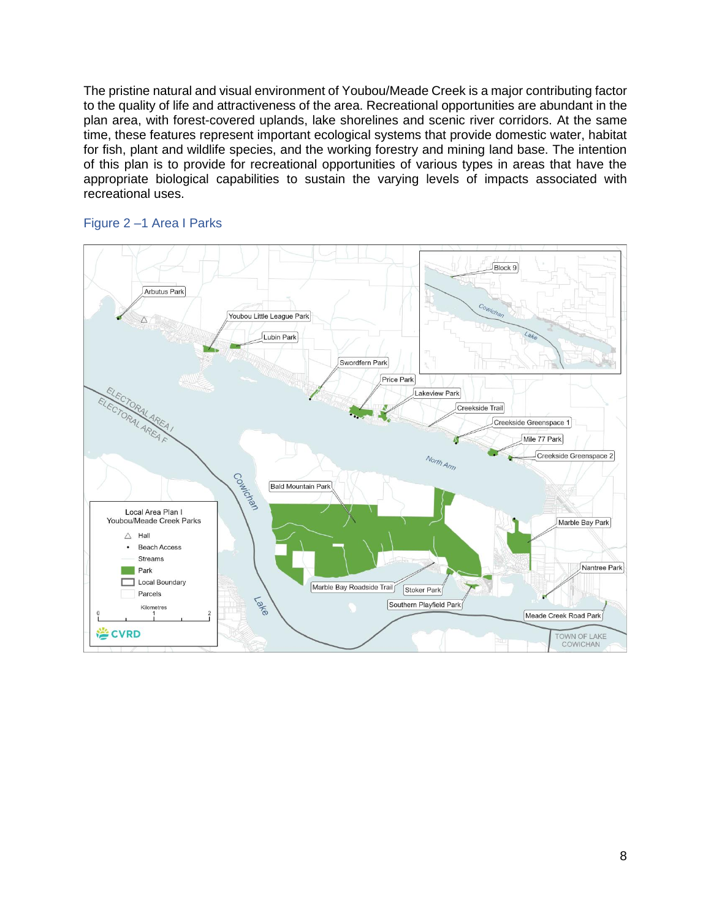The pristine natural and visual environment of Youbou/Meade Creek is a major contributing factor to the quality of life and attractiveness of the area. Recreational opportunities are abundant in the plan area, with forest-covered uplands, lake shorelines and scenic river corridors. At the same time, these features represent important ecological systems that provide domestic water, habitat for fish, plant and wildlife species, and the working forestry and mining land base. The intention of this plan is to provide for recreational opportunities of various types in areas that have the appropriate biological capabilities to sustain the varying levels of impacts associated with recreational uses.



#### <span id="page-10-0"></span>Figure 2 –1 Area I Parks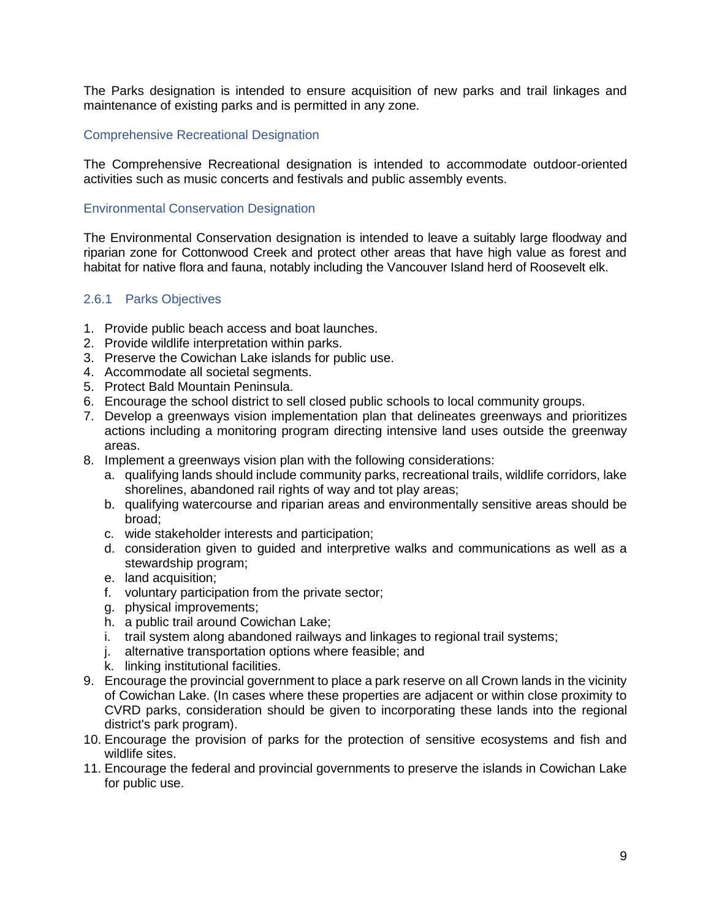The Parks designation is intended to ensure acquisition of new parks and trail linkages and maintenance of existing parks and is permitted in any zone.

### Comprehensive Recreational Designation

The Comprehensive Recreational designation is intended to accommodate outdoor-oriented activities such as music concerts and festivals and public assembly events.

### Environmental Conservation Designation

The Environmental Conservation designation is intended to leave a suitably large floodway and riparian zone for Cottonwood Creek and protect other areas that have high value as forest and habitat for native flora and fauna, notably including the Vancouver Island herd of Roosevelt elk.

### <span id="page-11-0"></span>2.6.1 Parks Objectives

- 1. Provide public beach access and boat launches.
- 2. Provide wildlife interpretation within parks.
- 3. Preserve the Cowichan Lake islands for public use.
- 4. Accommodate all societal segments.
- 5. Protect Bald Mountain Peninsula.
- 6. Encourage the school district to sell closed public schools to local community groups.
- 7. Develop a greenways vision implementation plan that delineates greenways and prioritizes actions including a monitoring program directing intensive land uses outside the greenway areas.
- 8. Implement a greenways vision plan with the following considerations:
	- a. qualifying lands should include community parks, recreational trails, wildlife corridors, lake shorelines, abandoned rail rights of way and tot play areas;
	- b. qualifying watercourse and riparian areas and environmentally sensitive areas should be broad;
	- c. wide stakeholder interests and participation;
	- d. consideration given to guided and interpretive walks and communications as well as a stewardship program;
	- e. land acquisition;
	- f. voluntary participation from the private sector;
	- g. physical improvements;
	- h. a public trail around Cowichan Lake;
	- i. trail system along abandoned railways and linkages to regional trail systems;
	- j. alternative transportation options where feasible; and
	- k. linking institutional facilities.
- 9. Encourage the provincial government to place a park reserve on all Crown lands in the vicinity of Cowichan Lake. (In cases where these properties are adjacent or within close proximity to CVRD parks, consideration should be given to incorporating these lands into the regional district's park program).
- 10. Encourage the provision of parks for the protection of sensitive ecosystems and fish and wildlife sites.
- 11. Encourage the federal and provincial governments to preserve the islands in Cowichan Lake for public use.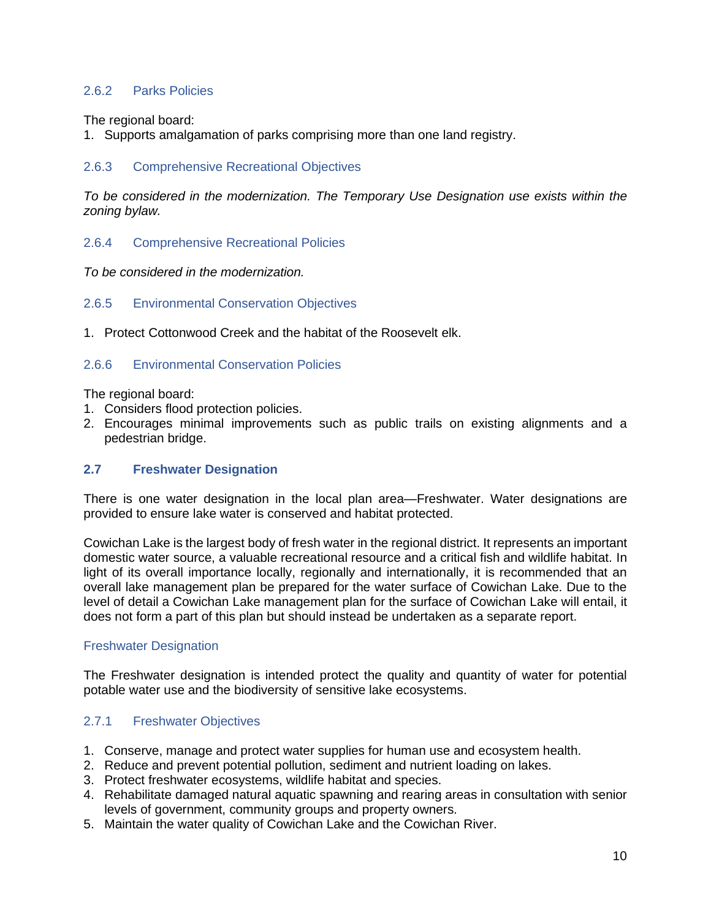### <span id="page-12-0"></span>2.6.2 Parks Policies

The regional board:

1. Supports amalgamation of parks comprising more than one land registry.

## <span id="page-12-1"></span>2.6.3 Comprehensive Recreational Objectives

*To be considered in the modernization. The Temporary Use Designation use exists within the zoning bylaw.*

<span id="page-12-2"></span>2.6.4 Comprehensive Recreational Policies

*To be considered in the modernization.*

- <span id="page-12-3"></span>2.6.5 Environmental Conservation Objectives
- 1. Protect Cottonwood Creek and the habitat of the Roosevelt elk.

### <span id="page-12-4"></span>2.6.6 Environmental Conservation Policies

The regional board:

- 1. Considers flood protection policies.
- 2. Encourages minimal improvements such as public trails on existing alignments and a pedestrian bridge.

### <span id="page-12-5"></span>**2.7 Freshwater Designation**

There is one water designation in the local plan area—Freshwater. Water designations are provided to ensure lake water is conserved and habitat protected.

Cowichan Lake is the largest body of fresh water in the regional district. It represents an important domestic water source, a valuable recreational resource and a critical fish and wildlife habitat. In light of its overall importance locally, regionally and internationally, it is recommended that an overall lake management plan be prepared for the water surface of Cowichan Lake. Due to the level of detail a Cowichan Lake management plan for the surface of Cowichan Lake will entail, it does not form a part of this plan but should instead be undertaken as a separate report.

### Freshwater Designation

The Freshwater designation is intended protect the quality and quantity of water for potential potable water use and the biodiversity of sensitive lake ecosystems.

### <span id="page-12-6"></span>2.7.1 Freshwater Objectives

- 1. Conserve, manage and protect water supplies for human use and ecosystem health.
- 2. Reduce and prevent potential pollution, sediment and nutrient loading on lakes.
- 3. Protect freshwater ecosystems, wildlife habitat and species.
- 4. Rehabilitate damaged natural aquatic spawning and rearing areas in consultation with senior levels of government, community groups and property owners.
- 5. Maintain the water quality of Cowichan Lake and the Cowichan River.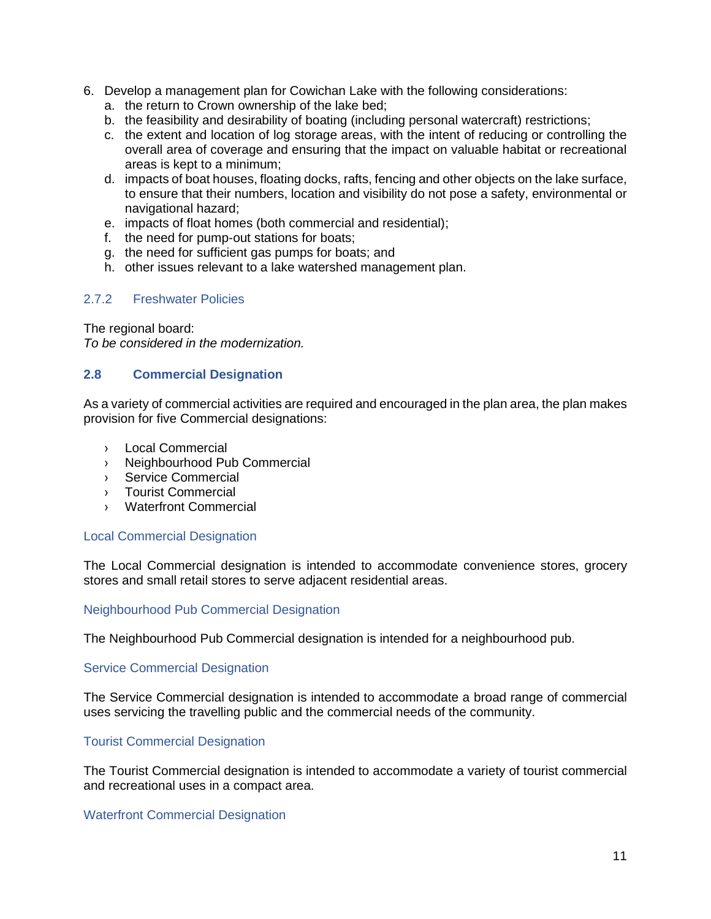- 6. Develop a management plan for Cowichan Lake with the following considerations:
	- a. the return to Crown ownership of the lake bed;
	- b. the feasibility and desirability of boating (including personal watercraft) restrictions;
	- c. the extent and location of log storage areas, with the intent of reducing or controlling the overall area of coverage and ensuring that the impact on valuable habitat or recreational areas is kept to a minimum;
	- d. impacts of boat houses, floating docks, rafts, fencing and other objects on the lake surface, to ensure that their numbers, location and visibility do not pose a safety, environmental or navigational hazard;
	- e. impacts of float homes (both commercial and residential);
	- f. the need for pump-out stations for boats;
	- g. the need for sufficient gas pumps for boats; and
	- h. other issues relevant to a lake watershed management plan.

### <span id="page-13-0"></span>2.7.2 Freshwater Policies

The regional board:

*To be considered in the modernization.*

#### <span id="page-13-1"></span>**2.8 Commercial Designation**

As a variety of commercial activities are required and encouraged in the plan area, the plan makes provision for five Commercial designations:

- › Local Commercial
- › Neighbourhood Pub Commercial
- › Service Commercial
- › Tourist Commercial
- › Waterfront Commercial

#### Local Commercial Designation

The Local Commercial designation is intended to accommodate convenience stores, grocery stores and small retail stores to serve adjacent residential areas.

#### Neighbourhood Pub Commercial Designation

The Neighbourhood Pub Commercial designation is intended for a neighbourhood pub.

#### Service Commercial Designation

The Service Commercial designation is intended to accommodate a broad range of commercial uses servicing the travelling public and the commercial needs of the community.

### Tourist Commercial Designation

The Tourist Commercial designation is intended to accommodate a variety of tourist commercial and recreational uses in a compact area.

#### Waterfront Commercial Designation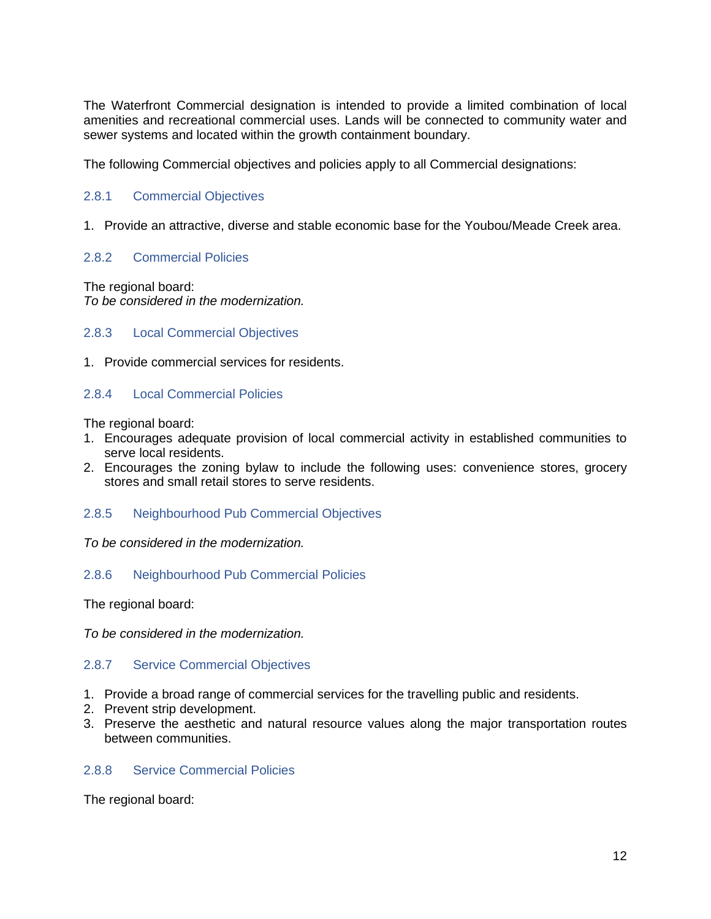The Waterfront Commercial designation is intended to provide a limited combination of local amenities and recreational commercial uses. Lands will be connected to community water and sewer systems and located within the growth containment boundary.

The following Commercial objectives and policies apply to all Commercial designations:

### <span id="page-14-0"></span>2.8.1 Commercial Objectives

1. Provide an attractive, diverse and stable economic base for the Youbou/Meade Creek area.

### <span id="page-14-1"></span>2.8.2 Commercial Policies

The regional board: *To be considered in the modernization.* 

### <span id="page-14-2"></span>2.8.3 Local Commercial Objectives

1. Provide commercial services for residents.

### <span id="page-14-3"></span>2.8.4 Local Commercial Policies

The regional board:

- 1. Encourages adequate provision of local commercial activity in established communities to serve local residents.
- 2. Encourages the zoning bylaw to include the following uses: convenience stores, grocery stores and small retail stores to serve residents.

#### <span id="page-14-4"></span>2.8.5 Neighbourhood Pub Commercial Objectives

*To be considered in the modernization.*

#### <span id="page-14-5"></span>2.8.6 Neighbourhood Pub Commercial Policies

The regional board:

*To be considered in the modernization.*

#### <span id="page-14-6"></span>2.8.7 Service Commercial Objectives

- 1. Provide a broad range of commercial services for the travelling public and residents.
- 2. Prevent strip development.
- 3. Preserve the aesthetic and natural resource values along the major transportation routes between communities.

#### <span id="page-14-7"></span>2.8.8 Service Commercial Policies

The regional board: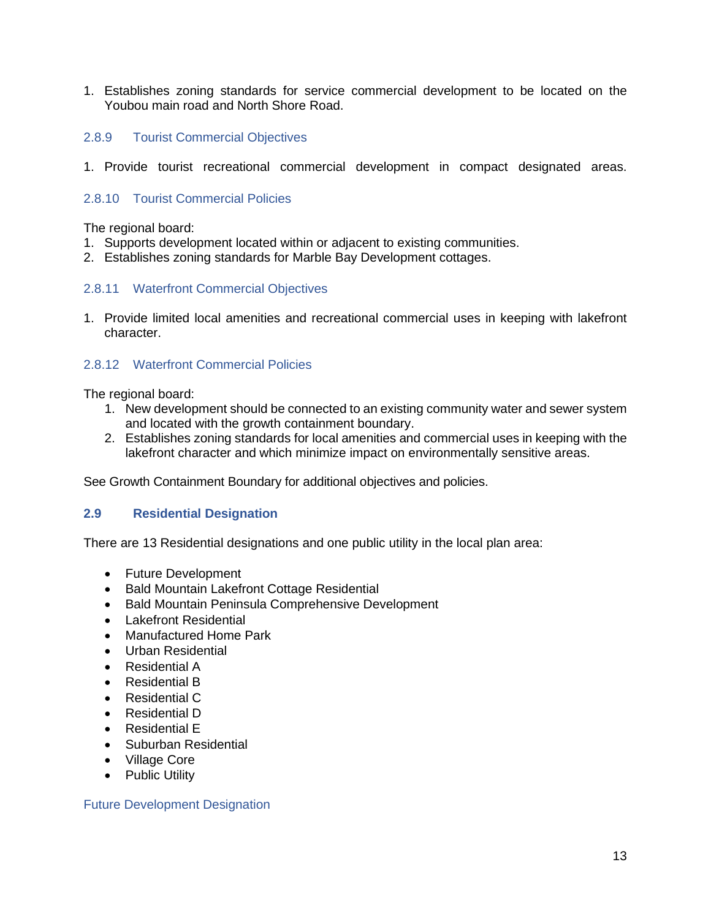1. Establishes zoning standards for service commercial development to be located on the Youbou main road and North Shore Road.

### <span id="page-15-0"></span>2.8.9 Tourist Commercial Objectives

1. Provide tourist recreational commercial development in compact designated areas.

### <span id="page-15-1"></span>2.8.10 Tourist Commercial Policies

The regional board:

- 1. Supports development located within or adjacent to existing communities.
- 2. Establishes zoning standards for Marble Bay Development cottages.

#### <span id="page-15-2"></span>2.8.11 Waterfront Commercial Objectives

1. Provide limited local amenities and recreational commercial uses in keeping with lakefront character.

### <span id="page-15-3"></span>2.8.12 Waterfront Commercial Policies

The regional board:

- 1. New development should be connected to an existing community water and sewer system and located with the growth containment boundary.
- 2. Establishes zoning standards for local amenities and commercial uses in keeping with the lakefront character and which minimize impact on environmentally sensitive areas.

See Growth Containment Boundary for additional objectives and policies.

#### <span id="page-15-4"></span>**2.9 Residential Designation**

There are 13 Residential designations and one public utility in the local plan area:

- Future Development
- Bald Mountain Lakefront Cottage Residential
- Bald Mountain Peninsula Comprehensive Development
- Lakefront Residential
- Manufactured Home Park
- Urban Residential
- Residential A
- Residential B
- Residential C
- Residential D
- Residential E
- Suburban Residential
- Village Core
- Public Utility

Future Development Designation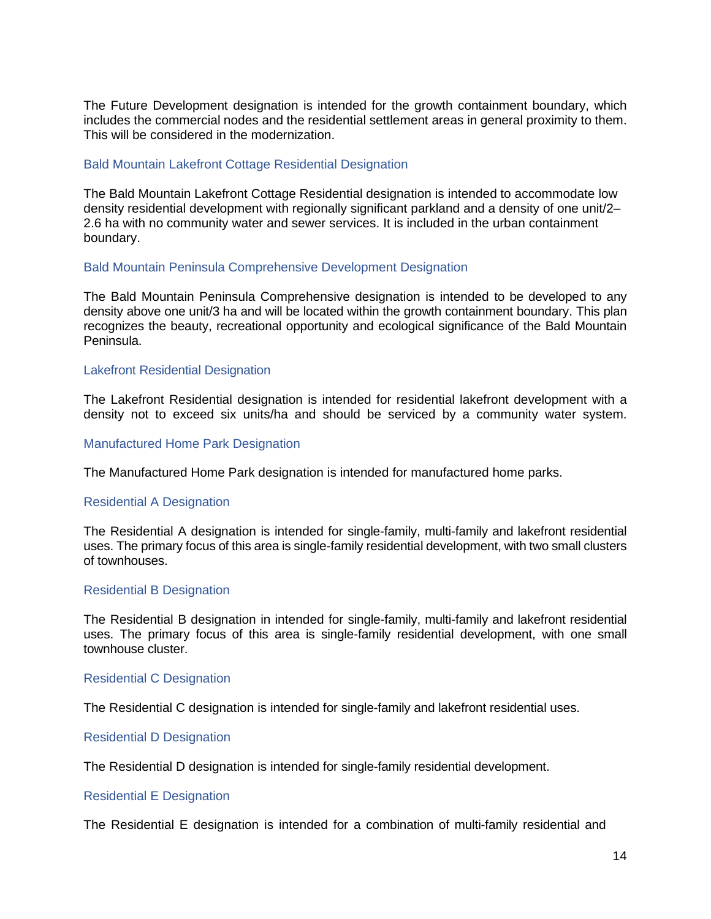The Future Development designation is intended for the growth containment boundary, which includes the commercial nodes and the residential settlement areas in general proximity to them. This will be considered in the modernization.

#### Bald Mountain Lakefront Cottage Residential Designation

The Bald Mountain Lakefront Cottage Residential designation is intended to accommodate low density residential development with regionally significant parkland and a density of one unit/2– 2.6 ha with no community water and sewer services. It is included in the urban containment boundary.

#### Bald Mountain Peninsula Comprehensive Development Designation

The Bald Mountain Peninsula Comprehensive designation is intended to be developed to any density above one unit/3 ha and will be located within the growth containment boundary. This plan recognizes the beauty, recreational opportunity and ecological significance of the Bald Mountain Peninsula.

#### Lakefront Residential Designation

The Lakefront Residential designation is intended for residential lakefront development with a density not to exceed six units/ha and should be serviced by a community water system.

#### Manufactured Home Park Designation

The Manufactured Home Park designation is intended for manufactured home parks.

#### Residential A Designation

The Residential A designation is intended for single-family, multi-family and lakefront residential uses. The primary focus of this area is single-family residential development, with two small clusters of townhouses.

#### Residential B Designation

The Residential B designation in intended for single-family, multi-family and lakefront residential uses. The primary focus of this area is single-family residential development, with one small townhouse cluster.

#### Residential C Designation

The Residential C designation is intended for single-family and lakefront residential uses.

#### Residential D Designation

The Residential D designation is intended for single-family residential development.

#### Residential E Designation

The Residential E designation is intended for a combination of multi-family residential and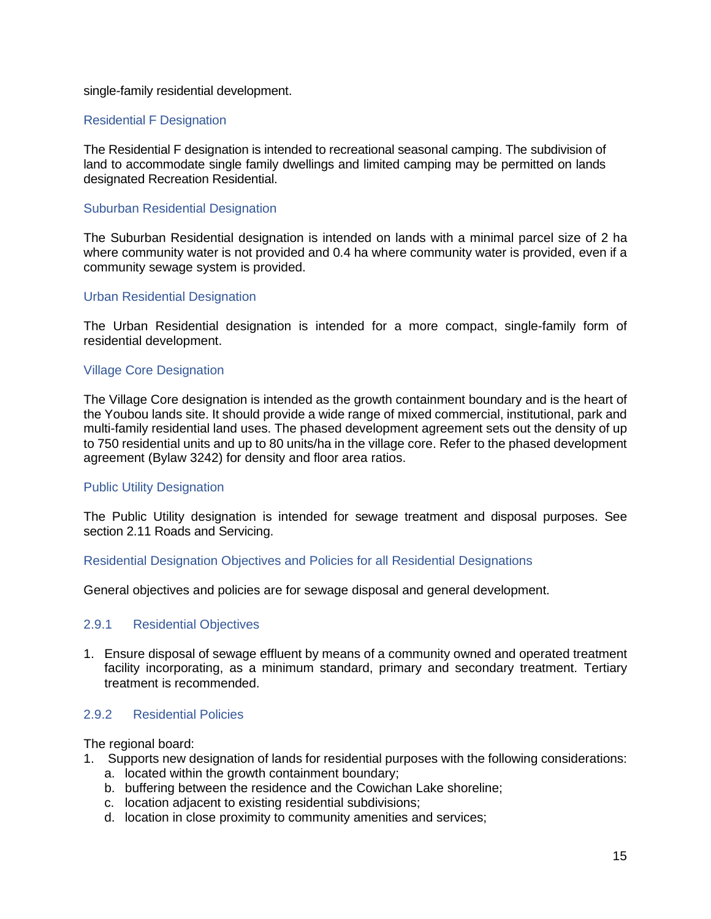single-family residential development.

### Residential F Designation

The Residential F designation is intended to recreational seasonal camping. The subdivision of land to accommodate single family dwellings and limited camping may be permitted on lands designated Recreation Residential.

### Suburban Residential Designation

The Suburban Residential designation is intended on lands with a minimal parcel size of 2 ha where community water is not provided and 0.4 ha where community water is provided, even if a community sewage system is provided.

#### Urban Residential Designation

The Urban Residential designation is intended for a more compact, single-family form of residential development.

### Village Core Designation

The Village Core designation is intended as the growth containment boundary and is the heart of the Youbou lands site. It should provide a wide range of mixed commercial, institutional, park and multi-family residential land uses. The phased development agreement sets out the density of up to 750 residential units and up to 80 units/ha in the village core. Refer to the phased development agreement (Bylaw 3242) for density and floor area ratios.

#### Public Utility Designation

The Public Utility designation is intended for sewage treatment and disposal purposes. See section 2.11 Roads and Servicing.

#### Residential Designation Objectives and Policies for all Residential Designations

<span id="page-17-0"></span>General objectives and policies are for sewage disposal and general development.

#### 2.9.1 Residential Objectives

1. Ensure disposal of sewage effluent by means of a community owned and operated treatment facility incorporating, as a minimum standard, primary and secondary treatment. Tertiary treatment is recommended.

### <span id="page-17-1"></span>2.9.2 Residential Policies

The regional board:

- 1. Supports new designation of lands for residential purposes with the following considerations:
	- a. located within the growth containment boundary;
	- b. buffering between the residence and the Cowichan Lake shoreline;
	- c. location adjacent to existing residential subdivisions;
	- d. location in close proximity to community amenities and services;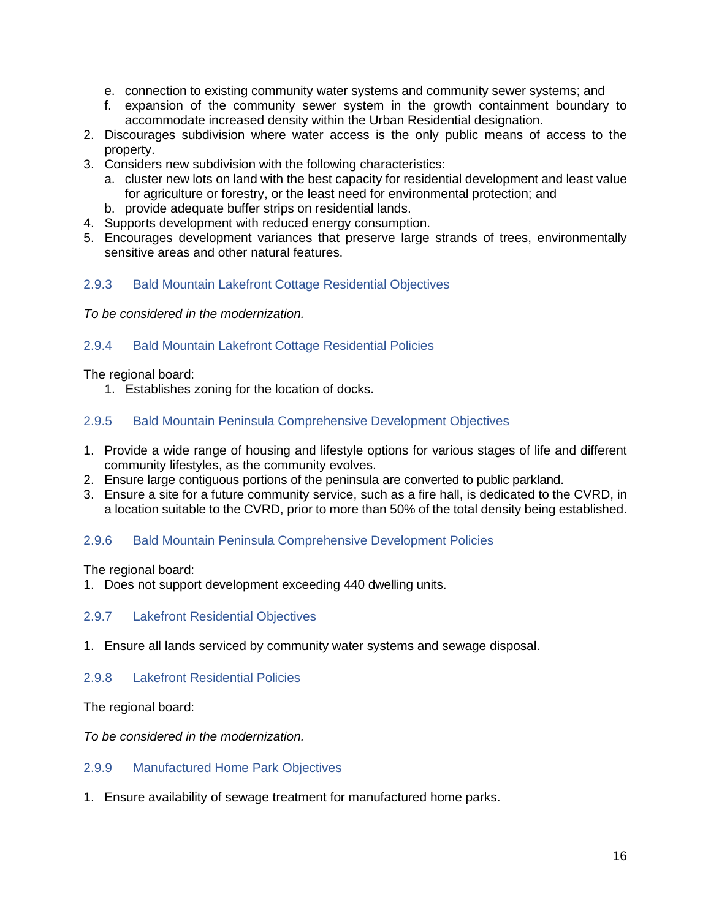- e. connection to existing community water systems and community sewer systems; and
- f. expansion of the community sewer system in the growth containment boundary to accommodate increased density within the Urban Residential designation.
- 2. Discourages subdivision where water access is the only public means of access to the property.
- 3. Considers new subdivision with the following characteristics:
	- a. cluster new lots on land with the best capacity for residential development and least value for agriculture or forestry, or the least need for environmental protection; and
	- b. provide adequate buffer strips on residential lands.
- 4. Supports development with reduced energy consumption.
- 5. Encourages development variances that preserve large strands of trees, environmentally sensitive areas and other natural features.

### <span id="page-18-0"></span>2.9.3 Bald Mountain Lakefront Cottage Residential Objectives

*To be considered in the modernization.*

### <span id="page-18-1"></span>2.9.4 Bald Mountain Lakefront Cottage Residential Policies

The regional board:

1. Establishes zoning for the location of docks.

### <span id="page-18-2"></span>2.9.5 Bald Mountain Peninsula Comprehensive Development Objectives

- 1. Provide a wide range of housing and lifestyle options for various stages of life and different community lifestyles, as the community evolves.
- 2. Ensure large contiguous portions of the peninsula are converted to public parkland.
- 3. Ensure a site for a future community service, such as a fire hall, is dedicated to the CVRD, in a location suitable to the CVRD, prior to more than 50% of the total density being established.

### <span id="page-18-3"></span>2.9.6 Bald Mountain Peninsula Comprehensive Development Policies

The regional board:

1. Does not support development exceeding 440 dwelling units.

#### <span id="page-18-4"></span>2.9.7 Lakefront Residential Objectives

1. Ensure all lands serviced by community water systems and sewage disposal.

#### <span id="page-18-5"></span>2.9.8 Lakefront Residential Policies

The regional board:

*To be considered in the modernization.*

### <span id="page-18-6"></span>2.9.9 Manufactured Home Park Objectives

1. Ensure availability of sewage treatment for manufactured home parks.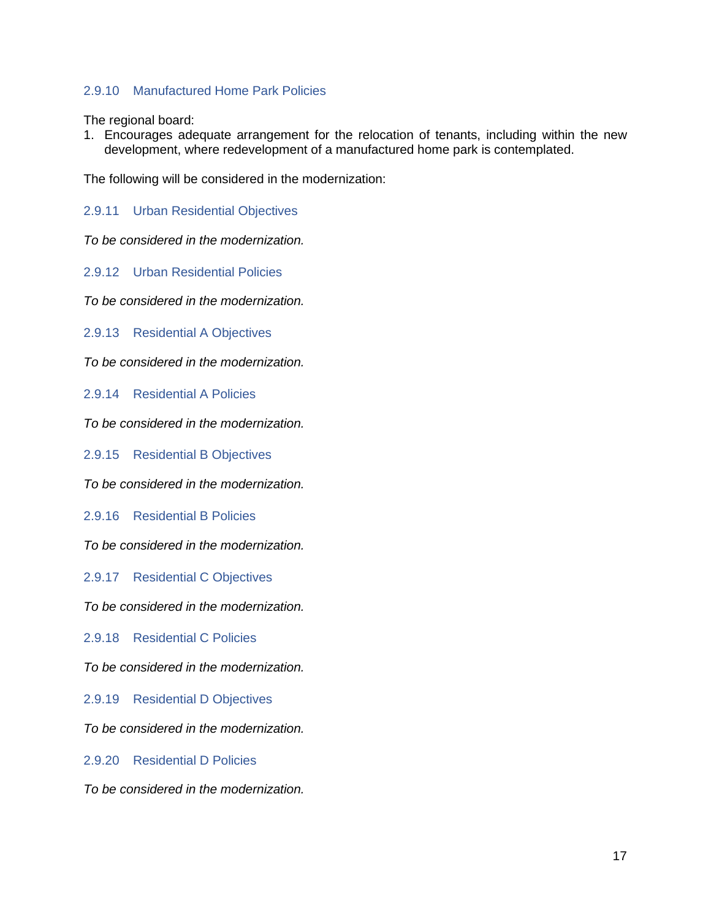# <span id="page-19-0"></span>2.9.10 Manufactured Home Park Policies

The regional board:

1. Encourages adequate arrangement for the relocation of tenants, including within the new development, where redevelopment of a manufactured home park is contemplated.

The following will be considered in the modernization:

<span id="page-19-1"></span>2.9.11 Urban Residential Objectives

*To be considered in the modernization.*

<span id="page-19-2"></span>2.9.12 Urban Residential Policies

*To be considered in the modernization.*

<span id="page-19-3"></span>2.9.13 Residential A Objectives

*To be considered in the modernization.*

<span id="page-19-4"></span>2.9.14 Residential A Policies

*To be considered in the modernization.*

<span id="page-19-5"></span>2.9.15 Residential B Objectives

*To be considered in the modernization.*

<span id="page-19-6"></span>2.9.16 Residential B Policies

*To be considered in the modernization.*

<span id="page-19-7"></span>2.9.17 Residential C Objectives

*To be considered in the modernization.*

<span id="page-19-8"></span>2.9.18 Residential C Policies

*To be considered in the modernization.*

<span id="page-19-9"></span>2.9.19 Residential D Objectives

*To be considered in the modernization.*

<span id="page-19-10"></span>2.9.20 Residential D Policies

*To be considered in the modernization.*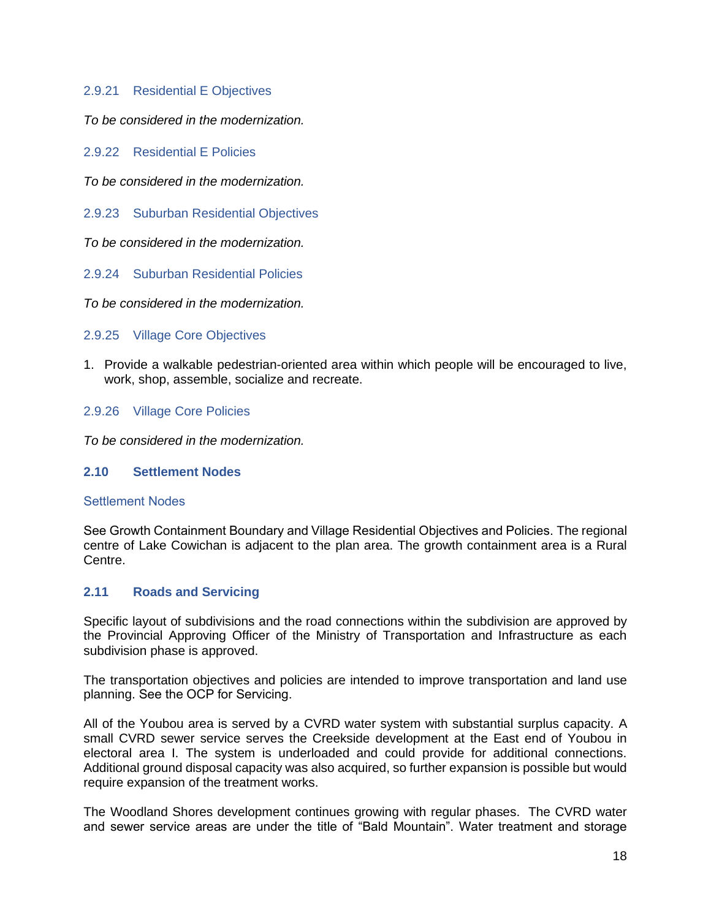### <span id="page-20-0"></span>2.9.21 Residential E Objectives

*To be considered in the modernization.*

<span id="page-20-1"></span>2.9.22 Residential E Policies

*To be considered in the modernization.*

<span id="page-20-2"></span>2.9.23 Suburban Residential Objectives

*To be considered in the modernization.*

<span id="page-20-3"></span>2.9.24 Suburban Residential Policies

*To be considered in the modernization.*

<span id="page-20-4"></span>2.9.25 Village Core Objectives

1. Provide a walkable pedestrian-oriented area within which people will be encouraged to live, work, shop, assemble, socialize and recreate.

### <span id="page-20-5"></span>2.9.26 Village Core Policies

*To be considered in the modernization.*

### <span id="page-20-6"></span>**2.10 Settlement Nodes**

#### Settlement Nodes

See Growth Containment Boundary and Village Residential Objectives and Policies. The regional centre of Lake Cowichan is adjacent to the plan area. The growth containment area is a Rural Centre.

#### <span id="page-20-7"></span>**2.11 Roads and Servicing**

Specific layout of subdivisions and the road connections within the subdivision are approved by the Provincial Approving Officer of the Ministry of Transportation and Infrastructure as each subdivision phase is approved.

The transportation objectives and policies are intended to improve transportation and land use planning. See the OCP for Servicing.

All of the Youbou area is served by a CVRD water system with substantial surplus capacity. A small CVRD sewer service serves the Creekside development at the East end of Youbou in electoral area I. The system is underloaded and could provide for additional connections. Additional ground disposal capacity was also acquired, so further expansion is possible but would require expansion of the treatment works.

The Woodland Shores development continues growing with regular phases. The CVRD water and sewer service areas are under the title of "Bald Mountain". Water treatment and storage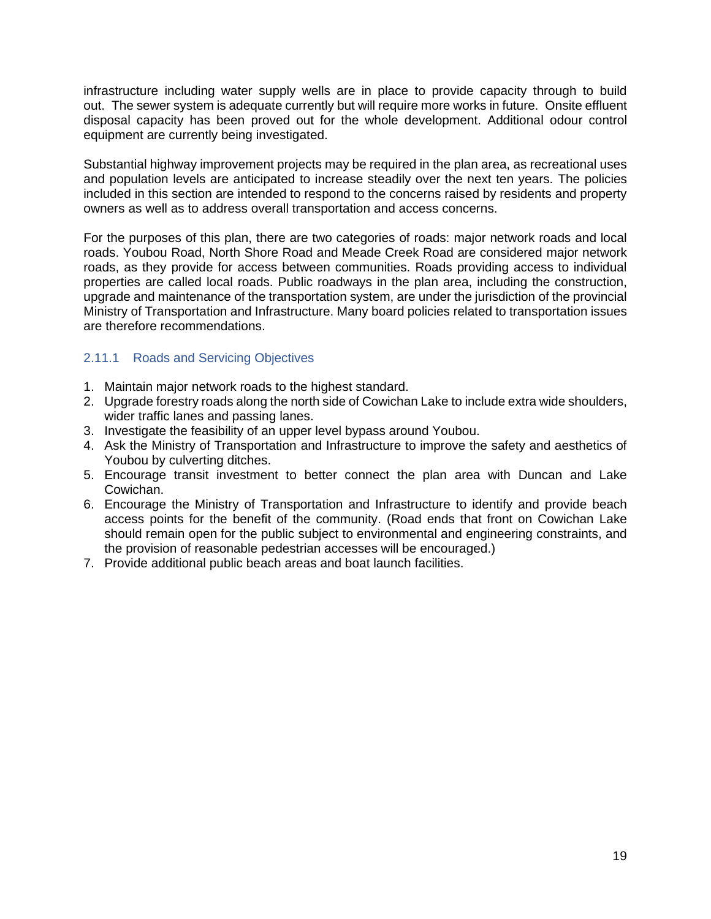infrastructure including water supply wells are in place to provide capacity through to build out. The sewer system is adequate currently but will require more works in future. Onsite effluent disposal capacity has been proved out for the whole development. Additional odour control equipment are currently being investigated.

Substantial highway improvement projects may be required in the plan area, as recreational uses and population levels are anticipated to increase steadily over the next ten years. The policies included in this section are intended to respond to the concerns raised by residents and property owners as well as to address overall transportation and access concerns.

For the purposes of this plan, there are two categories of roads: major network roads and local roads. Youbou Road, North Shore Road and Meade Creek Road are considered major network roads, as they provide for access between communities. Roads providing access to individual properties are called local roads. Public roadways in the plan area, including the construction, upgrade and maintenance of the transportation system, are under the jurisdiction of the provincial Ministry of Transportation and Infrastructure. Many board policies related to transportation issues are therefore recommendations.

# <span id="page-21-0"></span>2.11.1 Roads and Servicing Objectives

- 1. Maintain major network roads to the highest standard.
- 2. Upgrade forestry roads along the north side of Cowichan Lake to include extra wide shoulders, wider traffic lanes and passing lanes.
- 3. Investigate the feasibility of an upper level bypass around Youbou.
- 4. Ask the Ministry of Transportation and Infrastructure to improve the safety and aesthetics of Youbou by culverting ditches.
- 5. Encourage transit investment to better connect the plan area with Duncan and Lake Cowichan.
- 6. Encourage the Ministry of Transportation and Infrastructure to identify and provide beach access points for the benefit of the community. (Road ends that front on Cowichan Lake should remain open for the public subject to environmental and engineering constraints, and the provision of reasonable pedestrian accesses will be encouraged.)
- 7. Provide additional public beach areas and boat launch facilities.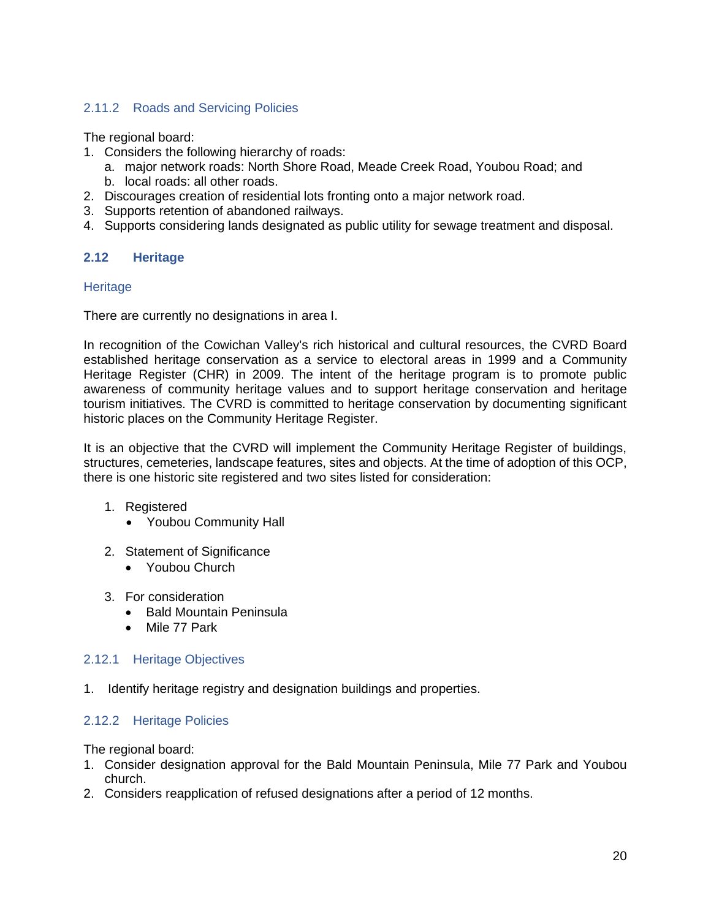# <span id="page-22-0"></span>2.11.2 Roads and Servicing Policies

The regional board:

- 1. Considers the following hierarchy of roads:
	- a. major network roads: North Shore Road, Meade Creek Road, Youbou Road; and
	- b. local roads: all other roads.
- 2. Discourages creation of residential lots fronting onto a major network road.
- 3. Supports retention of abandoned railways.
- 4. Supports considering lands designated as public utility for sewage treatment and disposal.

### <span id="page-22-1"></span>**2.12 Heritage**

#### **Heritage**

There are currently no designations in area I.

In recognition of the Cowichan Valley's rich historical and cultural resources, the CVRD Board established heritage conservation as a service to electoral areas in 1999 and a Community Heritage Register (CHR) in 2009. The intent of the heritage program is to promote public awareness of community heritage values and to support heritage conservation and heritage tourism initiatives. The CVRD is committed to heritage conservation by documenting significant historic places on the Community Heritage Register.

It is an objective that the CVRD will implement the Community Heritage Register of buildings, structures, cemeteries, landscape features, sites and objects. At the time of adoption of this OCP, there is one historic site registered and two sites listed for consideration:

- 1. Registered
	- Youbou Community Hall
- 2. Statement of Significance
	- Youbou Church
- 3. For consideration
	- Bald Mountain Peninsula
	- Mile 77 Park

#### <span id="page-22-2"></span>2.12.1 Heritage Objectives

1. Identify heritage registry and designation buildings and properties.

### <span id="page-22-3"></span>2.12.2 Heritage Policies

The regional board:

- 1. Consider designation approval for the Bald Mountain Peninsula, Mile 77 Park and Youbou church.
- 2. Considers reapplication of refused designations after a period of 12 months.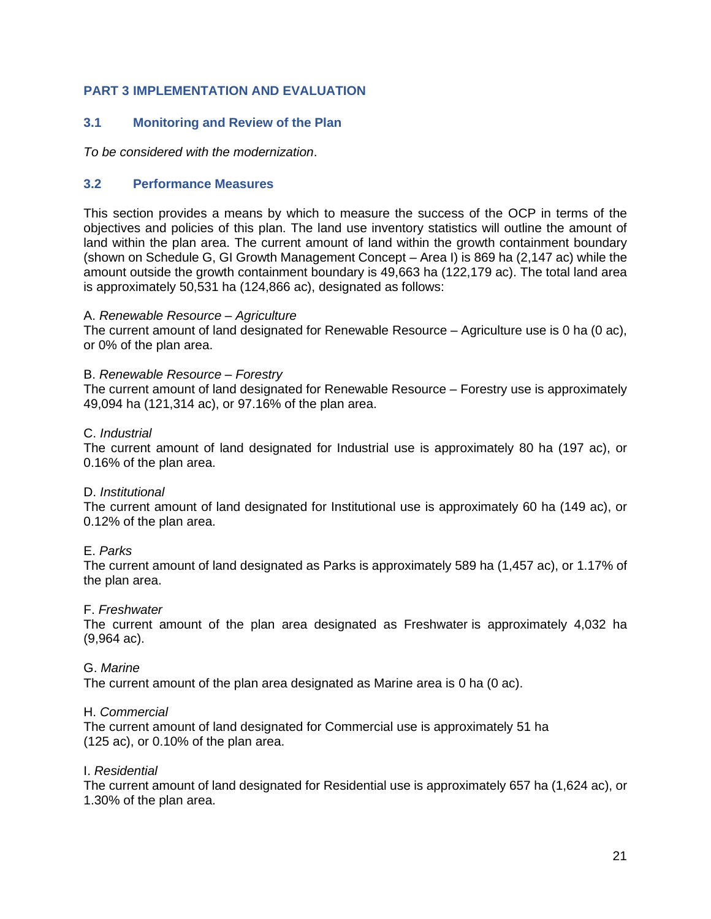# <span id="page-23-0"></span>**PART 3 IMPLEMENTATION AND EVALUATION**

### <span id="page-23-1"></span>**3.1 Monitoring and Review of the Plan**

*To be considered with the modernization*.

### <span id="page-23-2"></span>**3.2 Performance Measures**

This section provides a means by which to measure the success of the OCP in terms of the objectives and policies of this plan. The land use inventory statistics will outline the amount of land within the plan area. The current amount of land within the growth containment boundary (shown on Schedule G, GI Growth Management Concept – Area I) is 869 ha (2,147 ac) while the amount outside the growth containment boundary is 49,663 ha (122,179 ac). The total land area is approximately 50,531 ha (124,866 ac), designated as follows:

#### A. *Renewable Resource – Agriculture*

The current amount of land designated for Renewable Resource – Agriculture use is 0 ha (0 ac), or 0% of the plan area.

#### B. *Renewable Resource – Forestry*

The current amount of land designated for Renewable Resource – Forestry use is approximately 49,094 ha (121,314 ac), or 97.16% of the plan area.

#### C. *Industrial*

The current amount of land designated for Industrial use is approximately 80 ha (197 ac), or 0.16% of the plan area.

#### D. *Institutional*

The current amount of land designated for Institutional use is approximately 60 ha (149 ac), or 0.12% of the plan area.

### E. *Parks*

The current amount of land designated as Parks is approximately 589 ha (1,457 ac), or 1.17% of the plan area.

#### F. *Freshwater*

The current amount of the plan area designated as Freshwater is approximately 4,032 ha (9,964 ac).

#### G. *Marine*

The current amount of the plan area designated as Marine area is 0 ha (0 ac).

#### H. *Commercial*

The current amount of land designated for Commercial use is approximately 51 ha (125 ac), or 0.10% of the plan area.

#### I. *Residential*

The current amount of land designated for Residential use is approximately 657 ha (1,624 ac), or 1.30% of the plan area.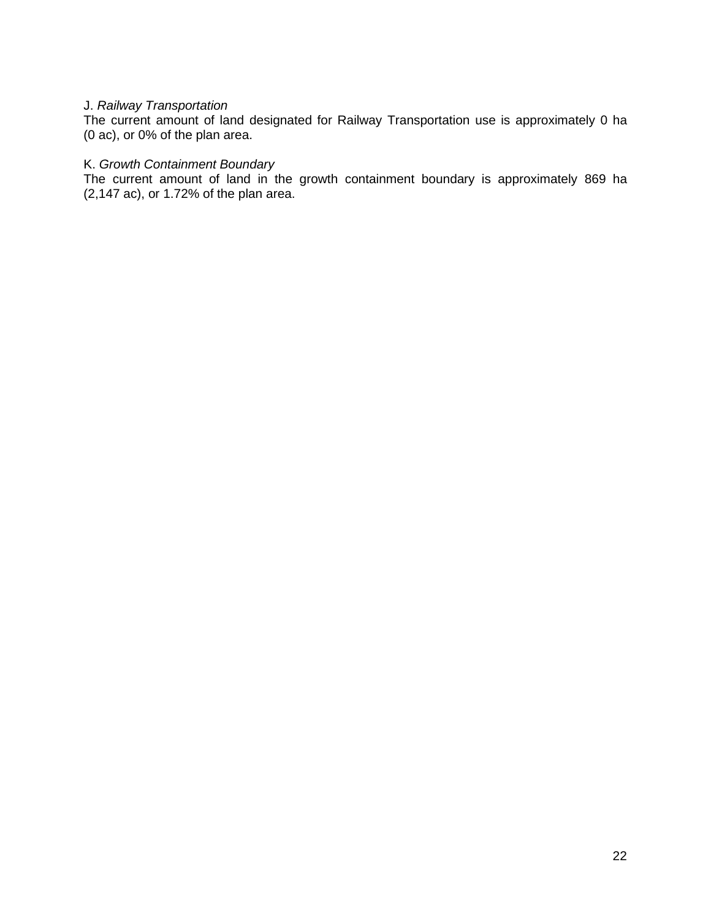# J. *Railway Transportation*

The current amount of land designated for Railway Transportation use is approximately 0 ha (0 ac), or 0% of the plan area.

# K. *Growth Containment Boundary*

The current amount of land in the growth containment boundary is approximately 869 ha (2,147 ac), or 1.72% of the plan area.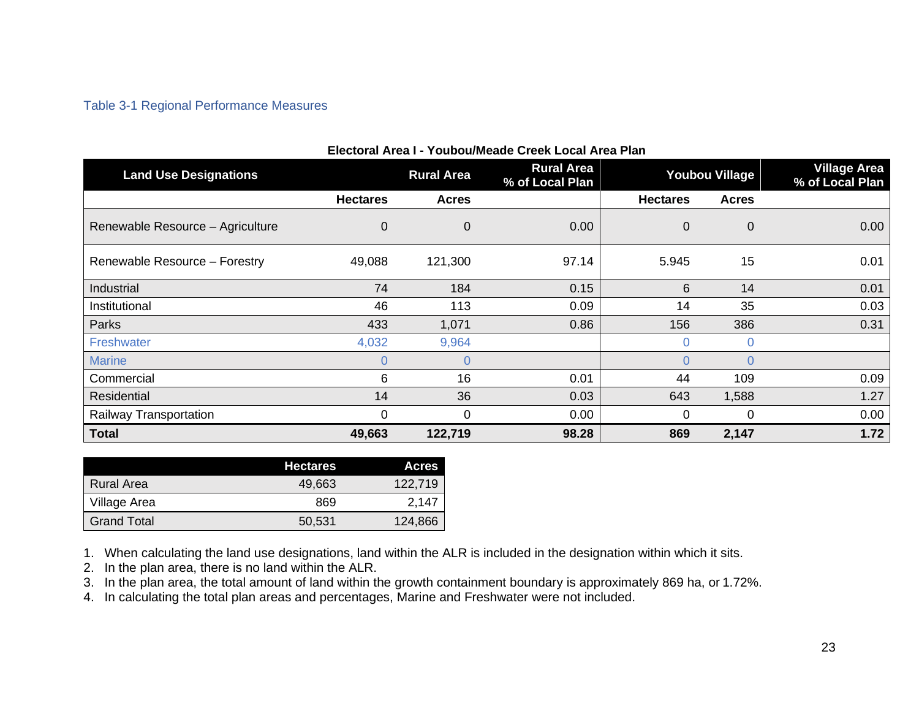# Table 3-1 Regional Performance Measures

| Electoral Area I - Youbou/Meade Creek Local Area Plan |                 |                   |                                      |                 |                       |                                        |
|-------------------------------------------------------|-----------------|-------------------|--------------------------------------|-----------------|-----------------------|----------------------------------------|
| <b>Land Use Designations</b>                          |                 | <b>Rural Area</b> | <b>Rural Area</b><br>% of Local Plan |                 | <b>Youbou Village</b> | <b>Village Area</b><br>% of Local Plan |
|                                                       | <b>Hectares</b> | <b>Acres</b>      |                                      | <b>Hectares</b> | <b>Acres</b>          |                                        |
| Renewable Resource - Agriculture                      | 0               | $\mathbf 0$       | 0.00                                 | 0               | 0                     | 0.00 <sub>1</sub>                      |
| Renewable Resource - Forestry                         | 49,088          | 121,300           | 97.14                                | 5.945           | 15                    | 0.01                                   |
| Industrial                                            | 74              | 184               | 0.15                                 | 6               | 14                    | 0.01                                   |
| Institutional                                         | 46              | 113               | 0.09                                 | 14              | 35                    | 0.03                                   |
| <b>Parks</b>                                          | 433             | 1,071             | 0.86                                 | 156             | 386                   | 0.31                                   |
| Freshwater                                            | 4,032           | 9,964             |                                      | 0               | $\Omega$              |                                        |
| <b>Marine</b>                                         | 0               | $\overline{0}$    |                                      | 0               | $\Omega$              |                                        |
| Commercial                                            | 6               | 16                | 0.01                                 | 44              | 109                   | 0.09                                   |
| Residential                                           | 14              | 36                | 0.03                                 | 643             | 1,588                 | 1.27                                   |
| Railway Transportation                                | 0               | $\Omega$          | 0.00                                 | 0               | 0                     | 0.00                                   |
| <b>Total</b>                                          | 49,663          | 122,719           | 98.28                                | 869             | 2,147                 | 1.72                                   |

<span id="page-25-0"></span>

|                    | <b>Hectares</b> | <b>Acres</b> |
|--------------------|-----------------|--------------|
| Rural Area         | 49.663          | 122,719      |
| Village Area       | 869             | 2.147        |
| <b>Grand Total</b> | 50.531          | 124,866      |

1. When calculating the land use designations, land within the ALR is included in the designation within which it sits.

2. In the plan area, there is no land within the ALR.

3. In the plan area, the total amount of land within the growth containment boundary is approximately 869 ha, or 1.72%.

4. In calculating the total plan areas and percentages, Marine and Freshwater were not included.